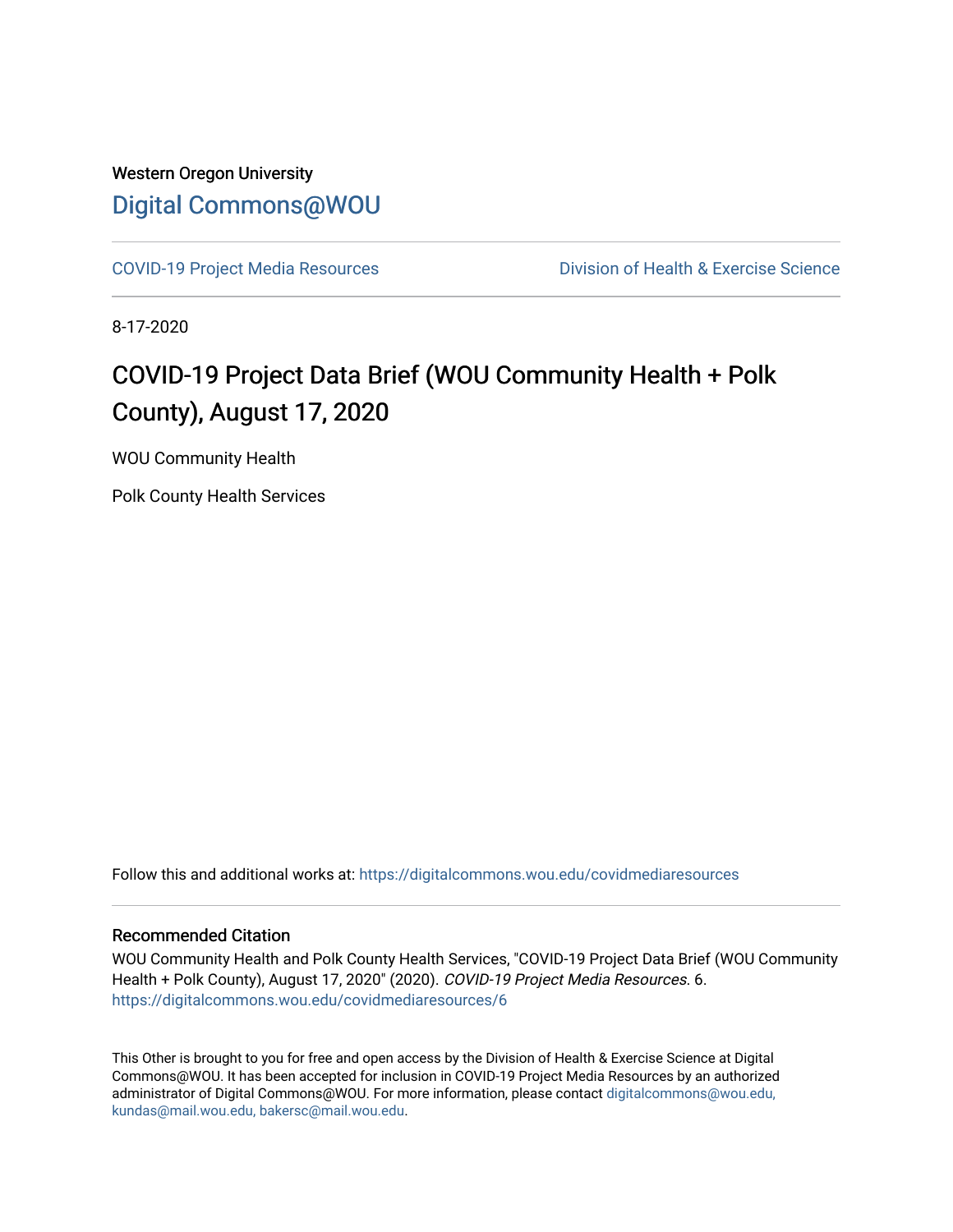### Western Oregon University [Digital Commons@WOU](https://digitalcommons.wou.edu/)

[COVID-19 Project Media Resources](https://digitalcommons.wou.edu/covidmediaresources) Division of Health & Exercise Science

8-17-2020

### COVID-19 Project Data Brief (WOU Community Health + Polk County), August 17, 2020

WOU Community Health

Polk County Health Services

Follow this and additional works at: [https://digitalcommons.wou.edu/covidmediaresources](https://digitalcommons.wou.edu/covidmediaresources?utm_source=digitalcommons.wou.edu%2Fcovidmediaresources%2F6&utm_medium=PDF&utm_campaign=PDFCoverPages)

#### Recommended Citation

WOU Community Health and Polk County Health Services, "COVID-19 Project Data Brief (WOU Community Health + Polk County), August 17, 2020" (2020). COVID-19 Project Media Resources. 6. [https://digitalcommons.wou.edu/covidmediaresources/6](https://digitalcommons.wou.edu/covidmediaresources/6?utm_source=digitalcommons.wou.edu%2Fcovidmediaresources%2F6&utm_medium=PDF&utm_campaign=PDFCoverPages)

This Other is brought to you for free and open access by the Division of Health & Exercise Science at Digital Commons@WOU. It has been accepted for inclusion in COVID-19 Project Media Resources by an authorized administrator of Digital Commons@WOU. For more information, please contact [digitalcommons@wou.edu,](mailto:digitalcommons@wou.edu,%20kundas@mail.wou.edu,%20bakersc@mail.wou.edu)  [kundas@mail.wou.edu, bakersc@mail.wou.edu.](mailto:digitalcommons@wou.edu,%20kundas@mail.wou.edu,%20bakersc@mail.wou.edu)